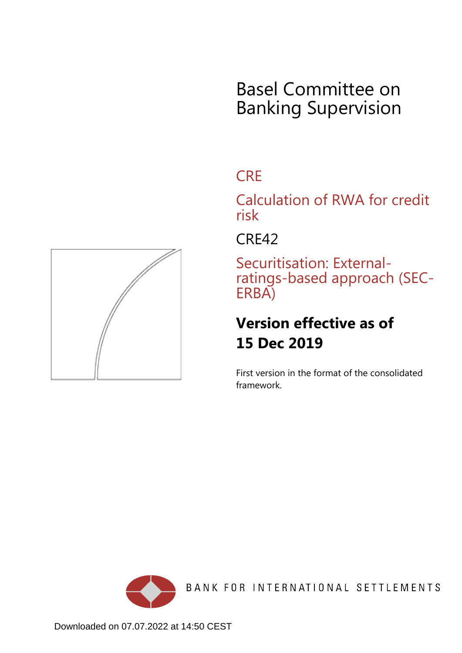# Basel Committee on Banking Supervision

## **CRE**

Calculation of RWA for credit risk

CRE42

Securitisation: Externalratings-based approach (SEC-ERBA)

## **Version effective as of 15 Dec 2019**

First version in the format of the consolidated framework.



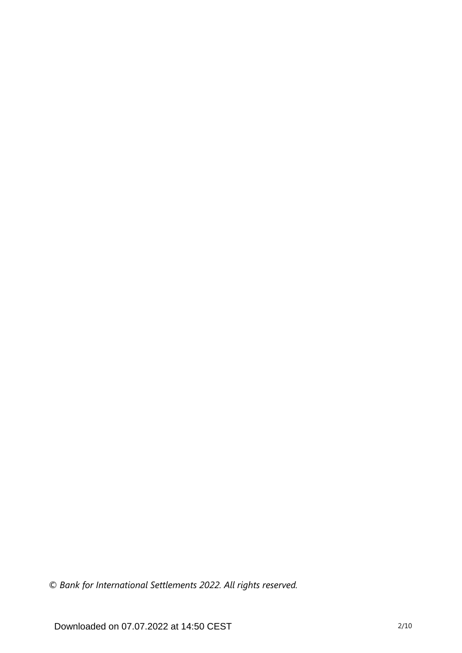*© Bank for International Settlements 2022. All rights reserved.*

Downloaded on 07.07.2022 at 14:50 CEST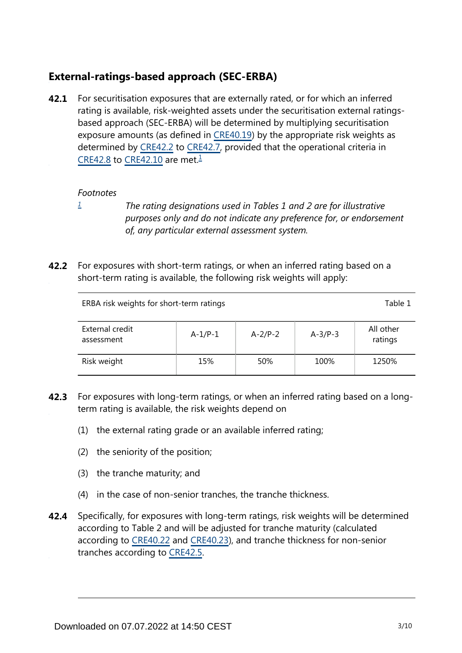## **External-ratings-based approach (SEC-ERBA)**

<span id="page-2-1"></span>For securitisation exposures that are externally rated, or for which an inferred rating is available, risk-weighted assets under the securitisation external ratingsbased approach (SEC-ERBA) will be determined by multiplying securitisation exposure amounts (as defined in [CRE40.19\)](https://www.bis.org/basel_framework/chapter/CRE/40.htm?tldate=20230101&inforce=20230101&published=20201126#paragraph_CRE_40_20230101_40_19) by the appropriate risk weights as determined by [CRE42.2](https://www.bis.org/basel_framework/chapter/CRE/42.htm?tldate=20230101&inforce=20191215&published=20191215#paragraph_CRE_42_20191215_42_2) to [CRE42.7,](https://www.bis.org/basel_framework/chapter/CRE/42.htm?tldate=20230101&inforce=20191215&published=20191215#paragraph_CRE_42_20191215_42_7) provided that the operational criteria in [CRE42.8](https://www.bis.org/basel_framework/chapter/CRE/42.htm?tldate=20230101&inforce=20191215&published=20191215#paragraph_CRE_42_20191215_42_8) to [CRE42.10](https://www.bis.org/basel_framework/chapter/CRE/42.htm?tldate=20230101&inforce=20191215&published=20191215#paragraph_CRE_42_20191215_42_10) are met. $\frac{1}{2}$  $\frac{1}{2}$  $\frac{1}{2}$ **42.1**

#### *Footnotes*

- <span id="page-2-0"></span>*[1](#page-2-1)*
- 

*The rating designations used in Tables 1 and 2 are for illustrative purposes only and do not indicate any preference for, or endorsement of, any particular external assessment system.*

**42.2** For exposures with short-term ratings, or when an inferred rating based on a short-term rating is available, the following risk weights will apply:

| ERBA risk weights for short-term ratings |           |           |           | Table 1              |
|------------------------------------------|-----------|-----------|-----------|----------------------|
| External credit<br>assessment            | $A-1/P-1$ | $A-2/P-2$ | $A-3/P-3$ | All other<br>ratings |
| Risk weight                              | 15%       | 50%       | 100%      | 1250%                |

- **42.3** For exposures with long-term ratings, or when an inferred rating based on a longterm rating is available, the risk weights depend on
	- (1) the external rating grade or an available inferred rating;
	- (2) the seniority of the position;
	- (3) the tranche maturity; and
	- (4) in the case of non-senior tranches, the tranche thickness.
- Specifically, for exposures with long-term ratings, risk weights will be determined according to Table 2 and will be adjusted for tranche maturity (calculated according to [CRE40.22](https://www.bis.org/basel_framework/chapter/CRE/40.htm?tldate=20230101&inforce=20230101&published=20201126#paragraph_CRE_40_20230101_40_22) and [CRE40.23\)](https://www.bis.org/basel_framework/chapter/CRE/40.htm?tldate=20230101&inforce=20230101&published=20201126#paragraph_CRE_40_20230101_40_23), and tranche thickness for non-senior tranches according to [CRE42.5.](https://www.bis.org/basel_framework/chapter/CRE/42.htm?tldate=20230101&inforce=20191215&published=20191215#paragraph_CRE_42_20191215_42_5) **42.4**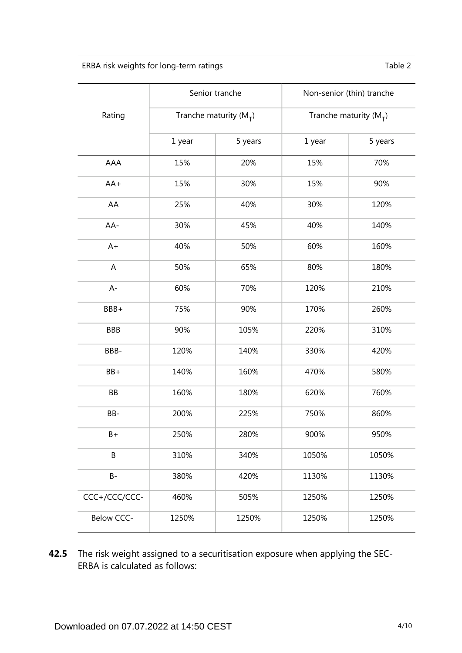ERBA risk weights for long-term ratings Table 2

|               | Senior tranche             |         | Non-senior (thin) tranche |         |
|---------------|----------------------------|---------|---------------------------|---------|
| Rating        | Tranche maturity ( $M_T$ ) |         | Tranche maturity $(M_T)$  |         |
|               | 1 year                     | 5 years | 1 year                    | 5 years |
| AAA           | 15%                        | 20%     | 15%                       | 70%     |
| $AA+$         | 15%                        | 30%     | 15%                       | 90%     |
| AA            | 25%                        | 40%     | 30%                       | 120%    |
| AA-           | 30%                        | 45%     | 40%                       | 140%    |
| $A+$          | 40%                        | 50%     | 60%                       | 160%    |
| A             | 50%                        | 65%     | 80%                       | 180%    |
| $A -$         | 60%                        | 70%     | 120%                      | 210%    |
| BBB+          | 75%                        | 90%     | 170%                      | 260%    |
| <b>BBB</b>    | 90%                        | 105%    | 220%                      | 310%    |
| BBB-          | 120%                       | 140%    | 330%                      | 420%    |
| BB+           | 140%                       | 160%    | 470%                      | 580%    |
| BB            | 160%                       | 180%    | 620%                      | 760%    |
| BB-           | 200%                       | 225%    | 750%                      | 860%    |
| B+            | 250%                       | 280%    | 900%                      | 950%    |
| B             | 310%                       | 340%    | 1050%                     | 1050%   |
| $B -$         | 380%                       | 420%    | 1130%                     | 1130%   |
| CCC+/CCC/CCC- | 460%                       | 505%    | 1250%                     | 1250%   |
| Below CCC-    | 1250%                      | 1250%   | 1250%                     | 1250%   |

**42.5** The risk weight assigned to a securitisation exposure when applying the SEC-ERBA is calculated as follows: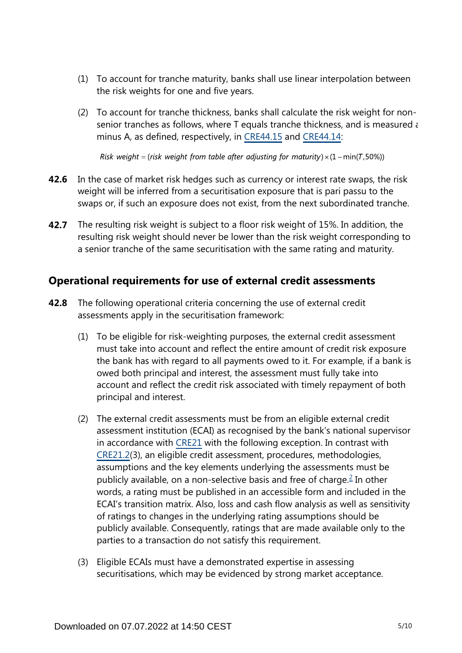- (1) To account for tranche maturity, banks shall use linear interpolation between the risk weights for one and five years.
- (2) To account for tranche thickness, banks shall calculate the risk weight for nonsenior tranches as follows, where T equals tranche thickness, and is measured as minus A, as defined, respectively, in [CRE44.15](https://www.bis.org/basel_framework/chapter/CRE/44.htm?tldate=20230101&inforce=20230101&published=20200327#paragraph_CRE_44_20230101_44_15) and [CRE44.14:](https://www.bis.org/basel_framework/chapter/CRE/44.htm?tldate=20230101&inforce=20230101&published=20200327#paragraph_CRE_44_20230101_44_14)

Risk weight = (risk weight from table after adjusting for maturity)  $\times$  (1 – min(T,50%))

- **42.6** In the case of market risk hedges such as currency or interest rate swaps, the risk weight will be inferred from a securitisation exposure that is pari passu to the swaps or, if such an exposure does not exist, from the next subordinated tranche.
- The resulting risk weight is subject to a floor risk weight of 15%. In addition, the resulting risk weight should never be lower than the risk weight corresponding to a senior tranche of the same securitisation with the same rating and maturity. **42.7**

### **Operational requirements for use of external credit assessments**

- <span id="page-4-0"></span>The following operational criteria concerning the use of external credit assessments apply in the securitisation framework: **42.8**
	- (1) To be eligible for risk-weighting purposes, the external credit assessment must take into account and reflect the entire amount of credit risk exposure the bank has with regard to all payments owed to it. For example, if a bank is owed both principal and interest, the assessment must fully take into account and reflect the credit risk associated with timely repayment of both principal and interest.
	- (2) The external credit assessments must be from an eligible external credit assessment institution (ECAI) as recognised by the bank's national supervisor in accordance with [CRE21](https://www.bis.org/basel_framework/chapter/CRE/21.htm?tldate=20230101&inforce=20230101&published=20200327) with the following exception. In contrast with [CRE21.2](https://www.bis.org/basel_framework/chapter/CRE/21.htm?tldate=20230101&inforce=20230101&published=20200327#paragraph_CRE_21_20230101_21_2)(3), an eligible credit assessment, procedures, methodologies, assumptions and the key elements underlying the assessments must be publicly available, on a non-selective basis and free of charge. $\stackrel{?}{=}$  In other words, a rating must be published in an accessible form and included in the ECAI's transition matrix. Also, loss and cash flow analysis as well as sensitivity of ratings to changes in the underlying rating assumptions should be publicly available. Consequently, ratings that are made available only to the parties to a transaction do not satisfy this requirement.
	- (3) Eligible ECAIs must have a demonstrated expertise in assessing securitisations, which may be evidenced by strong market acceptance.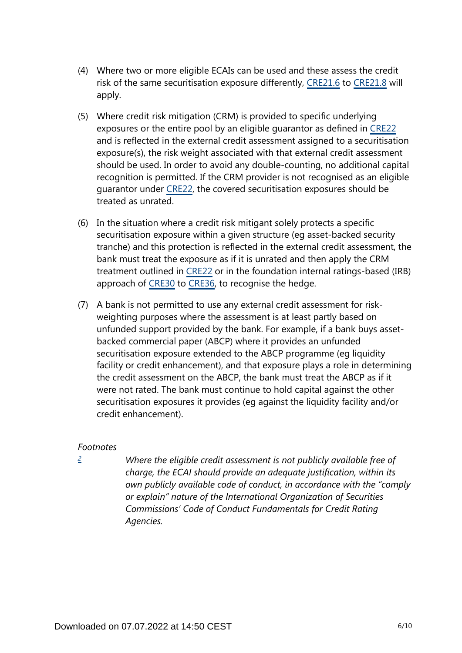- (4) Where two or more eligible ECAIs can be used and these assess the credit risk of the same securitisation exposure differently, [CRE21.6](https://www.bis.org/basel_framework/chapter/CRE/21.htm?tldate=20230101&inforce=20230101&published=20200327#paragraph_CRE_21_20230101_21_6) to [CRE21.8](https://www.bis.org/basel_framework/chapter/CRE/21.htm?tldate=20230101&inforce=20230101&published=20200327#paragraph_CRE_21_20230101_21_8) will apply.
- (5) Where credit risk mitigation (CRM) is provided to specific underlying exposures or the entire pool by an eligible guarantor as defined in [CRE22](https://www.bis.org/basel_framework/chapter/CRE/22.htm?tldate=20230101&inforce=20230101&published=20201126) and is reflected in the external credit assessment assigned to a securitisation exposure(s), the risk weight associated with that external credit assessment should be used. In order to avoid any double-counting, no additional capital recognition is permitted. If the CRM provider is not recognised as an eligible guarantor under [CRE22](https://www.bis.org/basel_framework/chapter/CRE/22.htm?tldate=20230101&inforce=20230101&published=20201126), the covered securitisation exposures should be treated as unrated.
- (6) In the situation where a credit risk mitigant solely protects a specific securitisation exposure within a given structure (eg asset-backed security tranche) and this protection is reflected in the external credit assessment, the bank must treat the exposure as if it is unrated and then apply the CRM treatment outlined in [CRE22](https://www.bis.org/basel_framework/chapter/CRE/22.htm?tldate=20230101&inforce=20230101&published=20201126) or in the foundation internal ratings-based (IRB) approach of [CRE30](https://www.bis.org/basel_framework/chapter/CRE/30.htm?tldate=20230101&inforce=20230101&published=20200327) to [CRE36,](https://www.bis.org/basel_framework/chapter/CRE/36.htm?tldate=20230101&inforce=20230101&published=20200327) to recognise the hedge.
- (7) A bank is not permitted to use any external credit assessment for riskweighting purposes where the assessment is at least partly based on unfunded support provided by the bank. For example, if a bank buys assetbacked commercial paper (ABCP) where it provides an unfunded securitisation exposure extended to the ABCP programme (eg liquidity facility or credit enhancement), and that exposure plays a role in determining the credit assessment on the ABCP, the bank must treat the ABCP as if it were not rated. The bank must continue to hold capital against the other securitisation exposures it provides (eg against the liquidity facility and/or credit enhancement).

#### *Footnotes*

<span id="page-5-0"></span>*[2](#page-4-0)*

*Where the eligible credit assessment is not publicly available free of charge, the ECAI should provide an adequate justification, within its own publicly available code of conduct, in accordance with the "comply or explain" nature of the International Organization of Securities Commissions' Code of Conduct Fundamentals for Credit Rating Agencies.*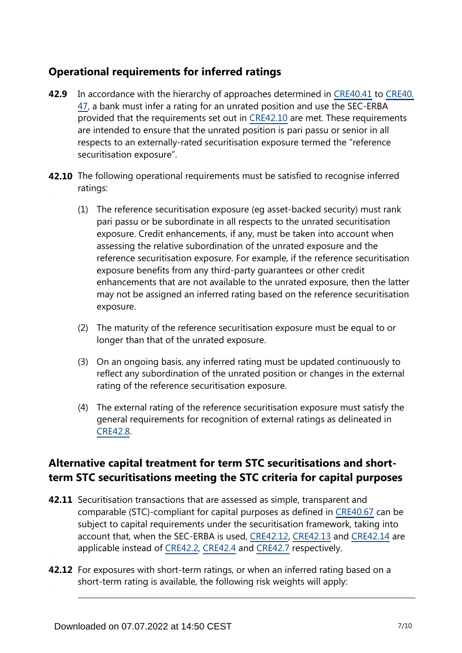## **Operational requirements for inferred ratings**

- **42.9** In accordance with the hierarchy of approaches determined in [CRE40.41](https://www.bis.org/basel_framework/chapter/CRE/40.htm?tldate=20230101&inforce=20230101&published=20201126#paragraph_CRE_40_20230101_40_41) to [CRE40.](https://www.bis.org/basel_framework/chapter/CRE/40.htm?tldate=20230101&inforce=20230101&published=20201126#paragraph_CRE_40_20230101_40_47) [47](https://www.bis.org/basel_framework/chapter/CRE/40.htm?tldate=20230101&inforce=20230101&published=20201126#paragraph_CRE_40_20230101_40_47), a bank must infer a rating for an unrated position and use the SEC-ERBA provided that the requirements set out in [CRE42.10](https://www.bis.org/basel_framework/chapter/CRE/42.htm?tldate=20230101&inforce=20191215&published=20191215#paragraph_CRE_42_20191215_42_10) are met. These requirements are intended to ensure that the unrated position is pari passu or senior in all respects to an externally-rated securitisation exposure termed the "reference securitisation exposure".
- **42.10** The following operational requirements must be satisfied to recognise inferred ratings:
	- (1) The reference securitisation exposure (eg asset-backed security) must rank pari passu or be subordinate in all respects to the unrated securitisation exposure. Credit enhancements, if any, must be taken into account when assessing the relative subordination of the unrated exposure and the reference securitisation exposure. For example, if the reference securitisation exposure benefits from any third-party guarantees or other credit enhancements that are not available to the unrated exposure, then the latter may not be assigned an inferred rating based on the reference securitisation exposure.
	- (2) The maturity of the reference securitisation exposure must be equal to or longer than that of the unrated exposure.
	- (3) On an ongoing basis, any inferred rating must be updated continuously to reflect any subordination of the unrated position or changes in the external rating of the reference securitisation exposure.
	- (4) The external rating of the reference securitisation exposure must satisfy the general requirements for recognition of external ratings as delineated in [CRE42.8](https://www.bis.org/basel_framework/chapter/CRE/42.htm?tldate=20230101&inforce=20191215&published=20191215#paragraph_CRE_42_20191215_42_8).

## **Alternative capital treatment for term STC securitisations and shortterm STC securitisations meeting the STC criteria for capital purposes**

- **42.11** Securitisation transactions that are assessed as simple, transparent and comparable (STC)-compliant for capital purposes as defined in [CRE40.67](https://www.bis.org/basel_framework/chapter/CRE/40.htm?tldate=20230101&inforce=20230101&published=20201126#paragraph_CRE_40_20230101_40_67) can be subject to capital requirements under the securitisation framework, taking into account that, when the SEC-ERBA is used, [CRE42.12,](https://www.bis.org/basel_framework/chapter/CRE/42.htm?tldate=20230101&inforce=20191215&published=20191215#paragraph_CRE_42_20191215_42_12) [CRE42.13](https://www.bis.org/basel_framework/chapter/CRE/42.htm?tldate=20230101&inforce=20191215&published=20191215#paragraph_CRE_42_20191215_42_13) and [CRE42.14](https://www.bis.org/basel_framework/chapter/CRE/42.htm?tldate=20230101&inforce=20191215&published=20191215#paragraph_CRE_42_20191215_42_14) are applicable instead of [CRE42.2,](https://www.bis.org/basel_framework/chapter/CRE/42.htm?tldate=20230101&inforce=20191215&published=20191215#paragraph_CRE_42_20191215_42_2) [CRE42.4](https://www.bis.org/basel_framework/chapter/CRE/42.htm?tldate=20230101&inforce=20191215&published=20191215#paragraph_CRE_42_20191215_42_4) and [CRE42.7](https://www.bis.org/basel_framework/chapter/CRE/42.htm?tldate=20230101&inforce=20191215&published=20191215#paragraph_CRE_42_20191215_42_7) respectively.
- **42.12** For exposures with short-term ratings, or when an inferred rating based on a short-term rating is available, the following risk weights will apply: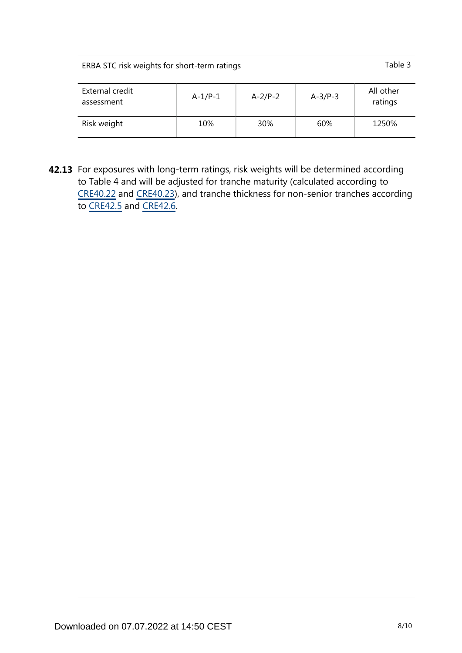| ERBA STC risk weights for short-term ratings | Table 3 |
|----------------------------------------------|---------|
|                                              |         |

| External credit<br>assessment | $A-1/P-1$ | $A-2/P-2$ | $A-3/P-3$ | All other<br>ratings |
|-------------------------------|-----------|-----------|-----------|----------------------|
| Risk weight                   | 10%       | 30%       | 60%       | 1250%                |

**42.13** For exposures with long-term ratings, risk weights will be determined according to Table 4 and will be adjusted for tranche maturity (calculated according to [CRE40.22](https://www.bis.org/basel_framework/chapter/CRE/40.htm?tldate=20230101&inforce=20230101&published=20201126#paragraph_CRE_40_20230101_40_22) and [CRE40.23](https://www.bis.org/basel_framework/chapter/CRE/40.htm?tldate=20230101&inforce=20230101&published=20201126#paragraph_CRE_40_20230101_40_23)), and tranche thickness for non-senior tranches according to [CRE42.5](https://www.bis.org/basel_framework/chapter/CRE/42.htm?tldate=20230101&inforce=20191215&published=20191215#paragraph_CRE_42_20191215_42_5) and [CRE42.6](https://www.bis.org/basel_framework/chapter/CRE/42.htm?tldate=20230101&inforce=20191215&published=20191215#paragraph_CRE_42_20191215_42_6).